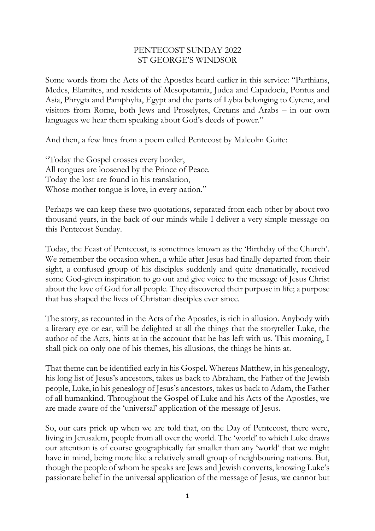## PENTECOST SUNDAY 2022 ST GEORGE'S WINDSOR

Some words from the Acts of the Apostles heard earlier in this service: "Parthians, Medes, Elamites, and residents of Mesopotamia, Judea and Capadocia, Pontus and Asia, Phrygia and Pamphylia, Egypt and the parts of Lybia belonging to Cyrene, and visitors from Rome, both Jews and Proselytes, Cretans and Arabs – in our own languages we hear them speaking about God's deeds of power."

And then, a few lines from a poem called Pentecost by Malcolm Guite:

"Today the Gospel crosses every border, All tongues are loosened by the Prince of Peace. Today the lost are found in his translation, Whose mother tongue is love, in every nation."

Perhaps we can keep these two quotations, separated from each other by about two thousand years, in the back of our minds while I deliver a very simple message on this Pentecost Sunday.

Today, the Feast of Pentecost, is sometimes known as the 'Birthday of the Church'. We remember the occasion when, a while after Jesus had finally departed from their sight, a confused group of his disciples suddenly and quite dramatically, received some God-given inspiration to go out and give voice to the message of Jesus Christ about the love of God for all people. They discovered their purpose in life; a purpose that has shaped the lives of Christian disciples ever since.

The story, as recounted in the Acts of the Apostles, is rich in allusion. Anybody with a literary eye or ear, will be delighted at all the things that the storyteller Luke, the author of the Acts, hints at in the account that he has left with us. This morning, I shall pick on only one of his themes, his allusions, the things he hints at.

That theme can be identified early in his Gospel. Whereas Matthew, in his genealogy, his long list of Jesus's ancestors, takes us back to Abraham, the Father of the Jewish people, Luke, in his genealogy of Jesus's ancestors, takes us back to Adam, the Father of all humankind. Throughout the Gospel of Luke and his Acts of the Apostles, we are made aware of the 'universal' application of the message of Jesus.

So, our ears prick up when we are told that, on the Day of Pentecost, there were, living in Jerusalem, people from all over the world. The 'world' to which Luke draws our attention is of course geographically far smaller than any 'world' that we might have in mind, being more like a relatively small group of neighbouring nations. But, though the people of whom he speaks are Jews and Jewish converts, knowing Luke's passionate belief in the universal application of the message of Jesus, we cannot but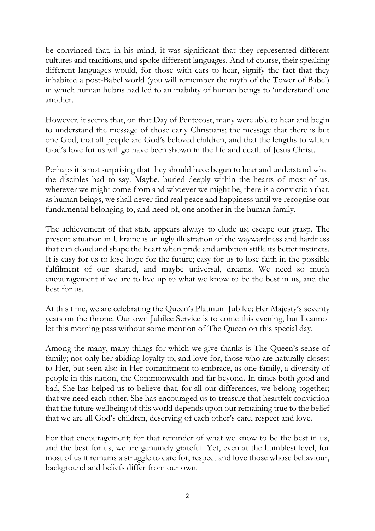be convinced that, in his mind, it was significant that they represented different cultures and traditions, and spoke different languages. And of course, their speaking different languages would, for those with ears to hear, signify the fact that they inhabited a post-Babel world (you will remember the myth of the Tower of Babel) in which human hubris had led to an inability of human beings to 'understand' one another.

However, it seems that, on that Day of Pentecost, many were able to hear and begin to understand the message of those early Christians; the message that there is but one God, that all people are God's beloved children, and that the lengths to which God's love for us will go have been shown in the life and death of Jesus Christ.

Perhaps it is not surprising that they should have begun to hear and understand what the disciples had to say. Maybe, buried deeply within the hearts of most of us, wherever we might come from and whoever we might be, there is a conviction that, as human beings, we shall never find real peace and happiness until we recognise our fundamental belonging to, and need of, one another in the human family.

The achievement of that state appears always to elude us; escape our grasp. The present situation in Ukraine is an ugly illustration of the waywardness and hardness that can cloud and shape the heart when pride and ambition stifle its better instincts. It is easy for us to lose hope for the future; easy for us to lose faith in the possible fulfilment of our shared, and maybe universal, dreams. We need so much encouragement if we are to live up to what we know to be the best in us, and the best for us.

At this time, we are celebrating the Queen's Platinum Jubilee; Her Majesty's seventy years on the throne. Our own Jubilee Service is to come this evening, but I cannot let this morning pass without some mention of The Queen on this special day.

Among the many, many things for which we give thanks is The Queen's sense of family; not only her abiding loyalty to, and love for, those who are naturally closest to Her, but seen also in Her commitment to embrace, as one family, a diversity of people in this nation, the Commonwealth and far beyond. In times both good and bad, She has helped us to believe that, for all our differences, we belong together; that we need each other. She has encouraged us to treasure that heartfelt conviction that the future wellbeing of this world depends upon our remaining true to the belief that we are all God's children, deserving of each other's care, respect and love.

For that encouragement; for that reminder of what we know to be the best in us, and the best for us, we are genuinely grateful. Yet, even at the humblest level, for most of us it remains a struggle to care for, respect and love those whose behaviour, background and beliefs differ from our own.